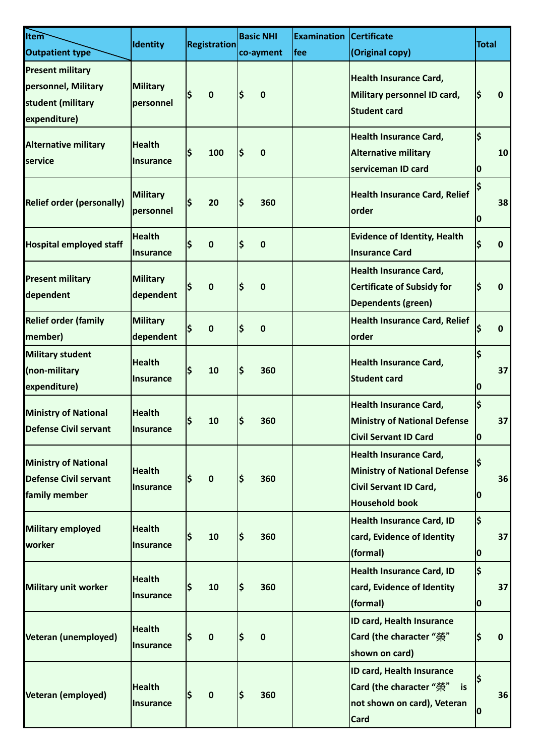| <b>Item</b><br>Outpatient type                                                      | <b>Identity</b>                     | <b>Registration</b> | <b>Basic NHI</b><br>co-ayment | <b>Examination</b><br><b>Ifee</b> | <b>Certificate</b><br>(Original copy)                                                                                   | <b>Total</b>                              |    |
|-------------------------------------------------------------------------------------|-------------------------------------|---------------------|-------------------------------|-----------------------------------|-------------------------------------------------------------------------------------------------------------------------|-------------------------------------------|----|
| <b>Present military</b><br>personnel, Military<br>student (military<br>expenditure) | <b>Military</b><br><b>personnel</b> | \$<br>$\mathbf 0$   | \$<br>$\mathbf 0$             |                                   | <b>Health Insurance Card,</b><br>Military personnel ID card,<br><b>Student card</b>                                     | ļ\$                                       | 0  |
| <b>Alternative military</b><br>service                                              | <b>Health</b><br><b>Insurance</b>   | \$<br>100           | I\$<br>0                      |                                   | <b>Health Insurance Card,</b><br><b>Alternative military</b><br>serviceman ID card                                      | $\overline{\boldsymbol{\varsigma}}$<br>IO | 10 |
| <b>Relief order (personally)</b>                                                    | <b>Military</b><br>personnel        | Ś<br>20             | l\$<br>360                    |                                   | <b>Health Insurance Card, Relief</b><br><b>lorder</b>                                                                   | 10                                        | 38 |
| <b>Hospital employed staff</b>                                                      | <b>Health</b><br><b>Insurance</b>   | \$<br>0             | I\$<br>$\mathbf 0$            |                                   | <b>Evidence of Identity, Health</b><br><b>Insurance Card</b>                                                            | \$                                        | 0  |
| <b>Present military</b><br>dependent                                                | <b>Military</b><br>dependent        | \$<br>0             | Ś<br>$\mathbf 0$              |                                   | <b>Health Insurance Card,</b><br><b>Certificate of Subsidy for</b><br>Dependents (green)                                | I\$                                       | 0  |
| <b>Relief order (family</b><br>member)                                              | <b>Military</b><br>dependent        | \$<br>0             | \$<br>$\mathbf 0$             |                                   | <b>Health Insurance Card, Relief</b><br>order                                                                           | l\$                                       | 0  |
| <b>Military student</b><br>(non-military<br>expenditure)                            | <b>Health</b><br><b>Insurance</b>   | \$<br>10            | l\$<br>360                    |                                   | <b>Health Insurance Card,</b><br><b>Student card</b>                                                                    | \$<br>O                                   | 37 |
| <b>Ministry of National</b><br><b>Defense Civil servant</b>                         | <b>Health</b><br>Insurance          | \$<br>10            | I\$<br>360                    |                                   | <b>Health Insurance Card,</b><br><b>Ministry of National Defense</b><br><b>Civil Servant ID Card</b>                    | l\$<br>0                                  | 37 |
| <b>Ministry of National</b><br><b>Defense Civil servant</b><br>family member        | <b>Health</b><br><b>Insurance</b>   | \$<br>$\pmb{0}$     | ļ\$<br>360                    |                                   | <b>Health Insurance Card,</b><br><b>Ministry of National Defense</b><br>Civil Servant ID Card,<br><b>Household book</b> | 10                                        | 36 |
| <b>Military employed</b><br>worker                                                  | <b>Health</b><br><b>Insurance</b>   | \$<br>10            | ļ\$<br>360                    |                                   | <b>Health Insurance Card, ID</b><br>card, Evidence of Identity<br>(formal)                                              | ļ\$<br>0                                  | 37 |
| <b>Military unit worker</b>                                                         | <b>Health</b><br><b>Insurance</b>   | \$<br>10            | l\$<br>360                    |                                   | <b>Health Insurance Card, ID</b><br>card, Evidence of Identity<br>(formal)                                              | l\$<br>10                                 | 37 |
| Veteran (unemployed)                                                                | <b>Health</b><br><b>Insurance</b>   | \$<br>$\pmb{0}$     | \$<br>$\mathbf 0$             |                                   | ID card, Health Insurance<br>Card (the character "榮"<br>shown on card)                                                  | \$                                        | 0  |
| Veteran (employed)                                                                  | <b>Health</b><br>Insurance          | \$<br>$\pmb{0}$     | l\$<br>360                    |                                   | ID card, Health Insurance<br>Card (the character "榮" is<br>not shown on card), Veteran<br><b>Card</b>                   | 10                                        | 36 |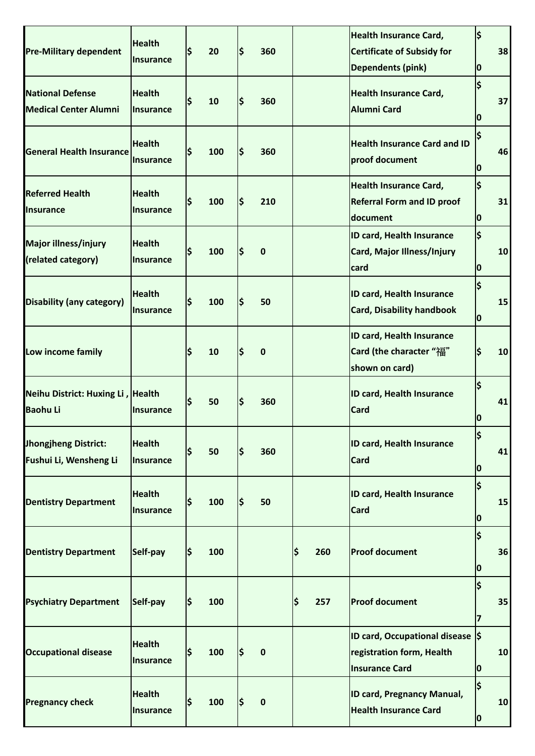| <b>Pre-Military dependent</b>                           | <b>Health</b><br><b>Insurance</b> |     | 20  | l\$ | 360         |     |     | <b>Health Insurance Card,</b><br><b>Certificate of Subsidy for</b><br><b>Dependents (pink)</b> | \$<br>0                                   | 38 |
|---------------------------------------------------------|-----------------------------------|-----|-----|-----|-------------|-----|-----|------------------------------------------------------------------------------------------------|-------------------------------------------|----|
| <b>National Defense</b><br><b>Medical Center Alumni</b> | <b>Health</b><br><b>Insurance</b> |     | 10  | l\$ | 360         |     |     | <b>Health Insurance Card,</b><br><b>Alumni Card</b>                                            | \$<br>0                                   | 37 |
| <b>General Health Insurance</b>                         | <b>Health</b><br><b>Insurance</b> |     | 100 | l\$ | 360         |     |     | <b>Health Insurance Card and ID</b><br>proof document                                          | \$<br>IО                                  | 46 |
| <b>Referred Health</b><br><b>Insurance</b>              | <b>Health</b><br><b>Insurance</b> |     | 100 | l\$ | 210         |     |     | <b>Health Insurance Card,</b><br><b>Referral Form and ID proof</b><br>document                 | \$<br>0                                   | 31 |
| Major illness/injury<br>(related category)              | <b>Health</b><br><b>Insurance</b> | Ś   | 100 | l\$ | 0           |     |     | <b>ID card, Health Insurance</b><br>Card, Major Illness/Injury<br>card                         | $\overline{\boldsymbol{\varsigma}}$<br>IО | 10 |
| <b>Disability (any category)</b>                        | <b>Health</b><br><b>Insurance</b> |     | 100 | l\$ | 50          |     |     | <b>ID card, Health Insurance</b><br><b>Card, Disability handbook</b>                           | \$<br>10                                  | 15 |
| Low income family                                       |                                   |     | 10  | l\$ | 0           |     |     | <b>ID card, Health Insurance</b><br>Card (the character "福"<br>shown on card)                  | \$                                        | 10 |
| Neihu District: Huxing Li, Health<br><b>Baohu Li</b>    | <b>Insurance</b>                  |     | 50  | l\$ | 360         |     |     | <b>ID card, Health Insurance</b><br><b>Card</b>                                                | \$<br>0                                   | 41 |
| <b>Jhongjheng District:</b><br>Fushui Li, Wensheng Li   | <b>Health</b><br><b>Insurance</b> |     | 50  | l\$ | 360         |     |     | <b>ID card, Health Insurance</b><br><b>Card</b>                                                | \$<br>0                                   | 41 |
| <b>Dentistry Department</b>                             | <b>Health</b><br><b>Insurance</b> | S   | 100 | I\$ | 50          |     |     | <b>ID card, Health Insurance</b><br><b>Card</b>                                                | \$<br>0                                   | 15 |
| <b>Dentistry Department</b>                             | Self-pay                          | I\$ | 100 |     |             | \$  | 260 | <b>Proof document</b>                                                                          | $\frac{1}{2}$<br>0                        | 36 |
| <b>Psychiatry Department</b>                            | Self-pay                          | lS  | 100 |     |             | ¦\$ | 257 | <b>Proof document</b>                                                                          | \$<br>$\overline{7}$                      | 35 |
| <b>Occupational disease</b>                             | <b>Health</b><br><b>Insurance</b> | S   | 100 | ļ\$ | $\mathbf 0$ |     |     | ID card, Occupational disease S<br>registration form, Health<br><b>Insurance Card</b>          | 0                                         | 10 |
| <b>Pregnancy check</b>                                  | <b>Health</b><br><b>Insurance</b> |     | 100 | ļ\$ | $\mathbf 0$ |     |     | <b>ID card, Pregnancy Manual,</b><br><b>Health Insurance Card</b>                              | \$<br>0                                   | 10 |